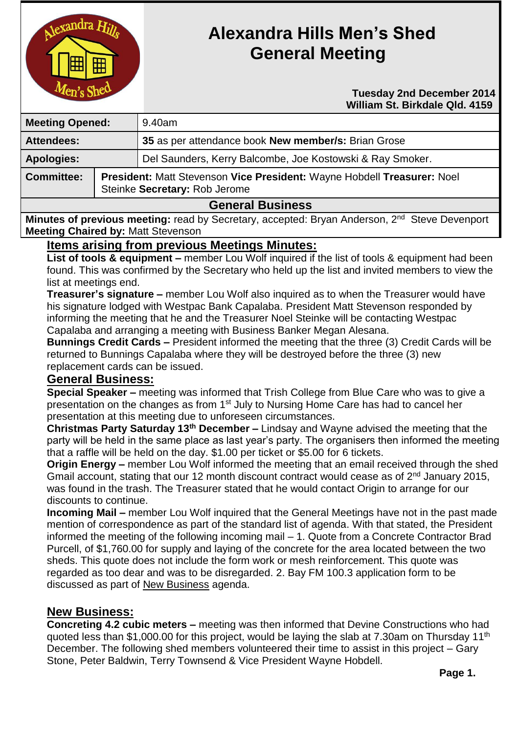

# **Alexandra Hills Men's Shed General Meeting**

 **Tuesday 2nd December 2014 William St. Birkdale Qld. 4159** 

| <b>Meeting Opened:</b>  |                                                                                                          | 9.40am                                                    |
|-------------------------|----------------------------------------------------------------------------------------------------------|-----------------------------------------------------------|
| <b>Attendees:</b>       |                                                                                                          | 35 as per attendance book New member/s: Brian Grose       |
| <b>Apologies:</b>       |                                                                                                          | Del Saunders, Kerry Balcombe, Joe Kostowski & Ray Smoker. |
| <b>Committee:</b>       | President: Matt Stevenson Vice President: Wayne Hobdell Treasurer: Noel<br>Steinke Secretary: Rob Jerome |                                                           |
| <b>General Business</b> |                                                                                                          |                                                           |

**Minutes of previous meeting:** read by Secretary, accepted: Bryan Anderson, 2<sup>nd</sup> Steve Devenport **Meeting Chaired by:** Matt Stevenson

## **Items arising from previous Meetings Minutes:**

**List of tools & equipment –** member Lou Wolf inquired if the list of tools & equipment had been found. This was confirmed by the Secretary who held up the list and invited members to view the list at meetings end.

**Treasurer's signature –** member Lou Wolf also inquired as to when the Treasurer would have his signature lodged with Westpac Bank Capalaba. President Matt Stevenson responded by informing the meeting that he and the Treasurer Noel Steinke will be contacting Westpac Capalaba and arranging a meeting with Business Banker Megan Alesana.

**Bunnings Credit Cards –** President informed the meeting that the three (3) Credit Cards will be returned to Bunnings Capalaba where they will be destroyed before the three (3) new replacement cards can be issued.

## **General Business:**

**Special Speaker –** meeting was informed that Trish College from Blue Care who was to give a presentation on the changes as from 1<sup>st</sup> July to Nursing Home Care has had to cancel her presentation at this meeting due to unforeseen circumstances.

**Christmas Party Saturday 13th December –** Lindsay and Wayne advised the meeting that the party will be held in the same place as last year's party. The organisers then informed the meeting that a raffle will be held on the day. \$1.00 per ticket or \$5.00 for 6 tickets.

**Origin Energy –** member Lou Wolf informed the meeting that an email received through the shed Gmail account, stating that our 12 month discount contract would cease as of 2<sup>nd</sup> January 2015. was found in the trash. The Treasurer stated that he would contact Origin to arrange for our discounts to continue.

**Incoming Mail –** member Lou Wolf inquired that the General Meetings have not in the past made mention of correspondence as part of the standard list of agenda. With that stated, the President informed the meeting of the following incoming mail – 1. Quote from a Concrete Contractor Brad Purcell, of \$1,760.00 for supply and laying of the concrete for the area located between the two sheds. This quote does not include the form work or mesh reinforcement. This quote was regarded as too dear and was to be disregarded. 2. Bay FM 100.3 application form to be discussed as part of New Business agenda.

## **New Business:**

**Concreting 4.2 cubic meters –** meeting was then informed that Devine Constructions who had quoted less than \$1,000.00 for this project, would be laying the slab at 7.30am on Thursday 11th December. The following shed members volunteered their time to assist in this project – Gary Stone, Peter Baldwin, Terry Townsend & Vice President Wayne Hobdell.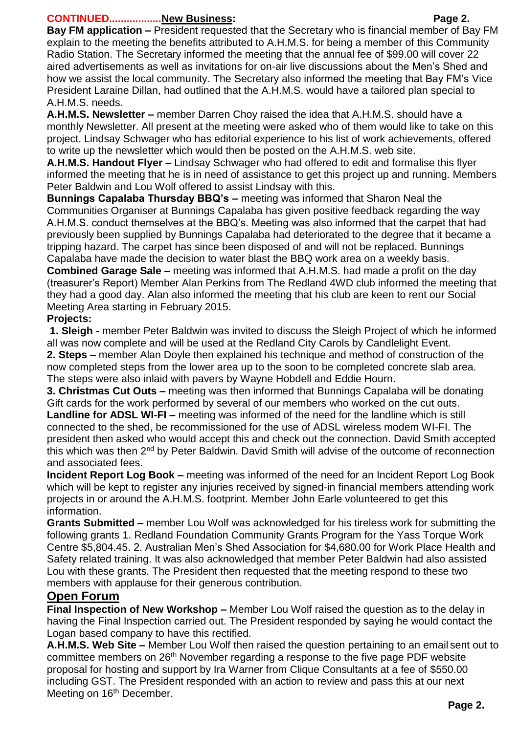#### **CONTINUED..................New Business: Page 2.**

**Bay FM application –** President requested that the Secretary who is financial member of Bay FM explain to the meeting the benefits attributed to A.H.M.S. for being a member of this Community Radio Station. The Secretary informed the meeting that the annual fee of \$99.00 will cover 22 aired advertisements as well as invitations for on-air live discussions about the Men's Shed and how we assist the local community. The Secretary also informed the meeting that Bay FM's Vice President Laraine Dillan, had outlined that the A.H.M.S. would have a tailored plan special to A.H.M.S. needs.

**A.H.M.S. Newsletter –** member Darren Choy raised the idea that A.H.M.S. should have a monthly Newsletter. All present at the meeting were asked who of them would like to take on this project. Lindsay Schwager who has editorial experience to his list of work achievements, offered to write up the newsletter which would then be posted on the A.H.M.S. web site.

**A.H.M.S. Handout Flyer –** Lindsay Schwager who had offered to edit and formalise this flyer informed the meeting that he is in need of assistance to get this project up and running. Members Peter Baldwin and Lou Wolf offered to assist Lindsay with this.

**Bunnings Capalaba Thursday BBQ's –** meeting was informed that Sharon Neal the Communities Organiser at Bunnings Capalaba has given positive feedback regarding the way A.H.M.S. conduct themselves at the BBQ's. Meeting was also informed that the carpet that had previously been supplied by Bunnings Capalaba had deteriorated to the degree that it became a tripping hazard. The carpet has since been disposed of and will not be replaced. Bunnings Capalaba have made the decision to water blast the BBQ work area on a weekly basis.

**Combined Garage Sale –** meeting was informed that A.H.M.S. had made a profit on the day (treasurer's Report) Member Alan Perkins from The Redland 4WD club informed the meeting that they had a good day. Alan also informed the meeting that his club are keen to rent our Social Meeting Area starting in February 2015.

## **Projects:**

**1. Sleigh -** member Peter Baldwin was invited to discuss the Sleigh Project of which he informed all was now complete and will be used at the Redland City Carols by Candlelight Event.

**2. Steps –** member Alan Doyle then explained his technique and method of construction of the now completed steps from the lower area up to the soon to be completed concrete slab area. The steps were also inlaid with pavers by Wayne Hobdell and Eddie Hourn.

**3. Christmas Cut Outs –** meeting was then informed that Bunnings Capalaba will be donating Gift cards for the work performed by several of our members who worked on the cut outs.

**Landline for ADSL WI-FI –** meeting was informed of the need for the landline which is still connected to the shed, be recommissioned for the use of ADSL wireless modem WI-FI. The president then asked who would accept this and check out the connection. David Smith accepted this which was then 2<sup>nd</sup> by Peter Baldwin. David Smith will advise of the outcome of reconnection and associated fees.

**Incident Report Log Book –** meeting was informed of the need for an Incident Report Log Book which will be kept to register any injuries received by signed-in financial members attending work projects in or around the A.H.M.S. footprint. Member John Earle volunteered to get this information.

**Grants Submitted –** member Lou Wolf was acknowledged for his tireless work for submitting the following grants 1. Redland Foundation Community Grants Program for the Yass Torque Work Centre \$5,804.45. 2. Australian Men's Shed Association for \$4,680.00 for Work Place Health and Safety related training. It was also acknowledged that member Peter Baldwin had also assisted Lou with these grants. The President then requested that the meeting respond to these two members with applause for their generous contribution.

## **Open Forum**

**Final Inspection of New Workshop –** Member Lou Wolf raised the question as to the delay in having the Final Inspection carried out. The President responded by saying he would contact the Logan based company to have this rectified.

**A.H.M.S. Web Site –** Member Lou Wolf then raised the question pertaining to an email sent out to committee members on 26<sup>th</sup> November regarding a response to the five page PDF website proposal for hosting and support by Ira Warner from Clique Consultants at a fee of \$550.00 including GST. The President responded with an action to review and pass this at our next Meeting on 16<sup>th</sup> December.